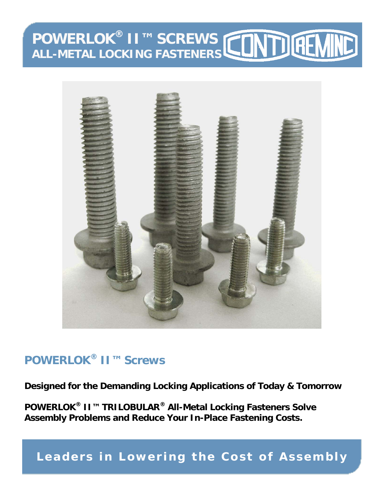# **POWERLOK® II™ SCREWS ALL-METAL LOCKING FASTENERS**



## **POWERLOK® II™ Screws**

**Designed for the Demanding Locking Applications of Today & Tomorrow** 

**POWERLOK® II™ TRILOBULAR® All-Metal Locking Fasteners Solve Assembly Problems and Reduce Your In-Place Fastening Costs.** 

**Leaders in Lowering the Cost of Assembly**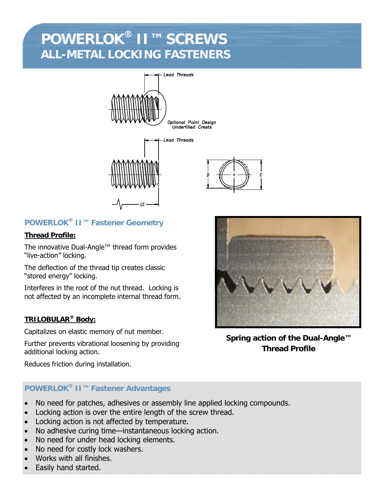## **POWERLOK® II™ SCREWS ALL-METAL LOCKING FASTENERS**





## **POWERLOK® II™ Fastener Geometry**

### **Thread Profile:**

The innovative Dual-Angle™ thread form provides "live-action" locking.

The deflection of the thread tip creates classic "stored energy" locking.

Interferes in the root of the nut thread. Locking is not affected by an incomplete internal thread form.

### **TRILOBULAR® Body:**

Capitalizes on elastic memory of nut member.

Further prevents vibrational loosening by providing additional locking action.



**Spring action of the Dual-Angle™ Thread Profile** 

Reduces friction during installation.

### **POWERLOK® II™ Fastener Advantages**

- No need for patches, adhesives or assembly line applied locking compounds.
- Locking action is over the entire length of the screw thread.
- Locking action is not affected by temperature.
- No adhesive curing time—instantaneous locking action.
- No need for under head locking elements.
- No need for costly lock washers.
- Works with all finishes.
- Easily hand started.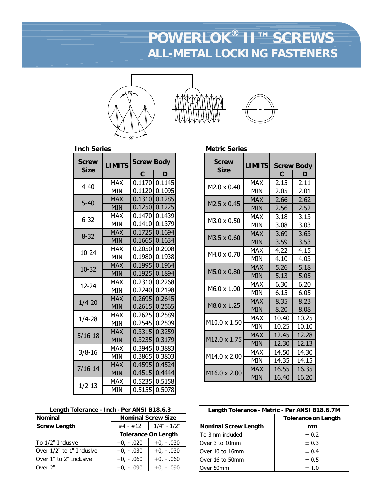## **POWERLOK® II™ SCREWS ALL-METAL LOCKING FASTENERS**



| <b>Screw</b> | <b>LIMITS</b> | <b>Screw Body</b> |        |
|--------------|---------------|-------------------|--------|
| <b>Size</b>  |               | С                 | D      |
| $4 - 40$     | MAX           | 0.1170            | 0.1145 |
|              | <b>MIN</b>    | 0.1120            | 0.1095 |
| $5 - 40$     | <b>MAX</b>    | 0.1310            | 0.1285 |
|              | MIN           | 0.1250            | 0.1225 |
| $6 - 32$     | MAX           | 0.1470            | 0.1439 |
|              | MIN           | 0.1410            | 0.1379 |
| 8-32         | MAX           | 0.1725            | 0.1694 |
|              | MIN           | 0.1665            | 0.1634 |
| 10-24        | MAX           | 0.2050            | 0.2008 |
|              | MIN           | 0.1980            | 0.1938 |
| 10-32        | MAX           | 0.1995            | 0.1964 |
|              | <b>MIN</b>    | 0.1925            | 0.1894 |
| 12-24        | MAX           | 0.2310            | 0.2268 |
|              | MIN           | 0.2240            | 0.2198 |
| $1/4 - 20$   | MAX           | 0.2695            | 0.2645 |
|              | <b>MIN</b>    | 0.2615            | 0.2565 |
| $1/4 - 28$   | MAX           | 0.2625            | 0.2589 |
|              | MIN           | 0.2545            | 0.2509 |
| $5/16 - 18$  | MAX           | 0.3315            | 0.3259 |
|              | MIN           | 0.3235            | 0.3179 |
| $3/8 - 16$   | MAX           | 0.3945            | 0.3883 |
|              | MIN           | 0.3865            | 0.3803 |
| $7/16 - 14$  | <b>MAX</b>    | 0.4595            | 0.4524 |
|              | <b>MIN</b>    | 0.4515            | 0.4444 |
| $1/2 - 13$   | MAX           | 0.5235            | 0.5158 |
|              | MIN           | 0.5155            | 0.5078 |

| Length Tolerance - Inch - Per ANSI B18.6.3 |                           |                            |  |
|--------------------------------------------|---------------------------|----------------------------|--|
| <b>Nominal</b>                             | <b>Nominal Screw Size</b> |                            |  |
| <b>Screw Length</b>                        | #4 - #12                  | $1/4" - 1/2"$              |  |
|                                            |                           | <b>Tolerance On Length</b> |  |
| To 1/2" Inclusive                          | $+0, -.020$               | $+0, -.030$                |  |
| Over 1/2" to 1" Inclusive                  | $+0, -.030$               | $+0, -.030$                |  |
| Over 1" to 2" Inclusive                    | $+0, -.060$               | $+0, -.060$                |  |
| Over 2"                                    | $+0, -.090$               | $+0, -.090$                |  |

| <b>Metric Series</b>        |               |       |                        |
|-----------------------------|---------------|-------|------------------------|
| <b>Screw</b><br><b>Size</b> | <b>LIMITS</b> | С     | <b>Screw Body</b><br>D |
| M2.0 x 0.40                 | <b>MAX</b>    | 2.15  | 2.11                   |
|                             | <b>MIN</b>    | 2.05  | 2.01                   |
| M2.5 x 0.45                 | <b>MAX</b>    | 2.66  | 2.62                   |
|                             | <b>MIN</b>    | 2.56  | 2.52                   |
| M3.0 x 0.50                 | <b>MAX</b>    | 3.18  | 3.13                   |
|                             | MIN           | 3.08  | 3.03                   |
|                             | <b>MAX</b>    | 3.69  | 3.63                   |
| M3.5 x 0.60                 | MIN           | 3.59  | 3.53                   |
| M4.0 x 0.70                 | MAX           | 4.22  | 4.15                   |
|                             | MIN           | 4.10  | 4.03                   |
| M5.0 x 0.80                 | <b>MAX</b>    | 5.26  | 5.18                   |
|                             | <b>MIN</b>    | 5.13  | 5.05                   |
| M6.0 x 1.00                 | MAX           | 6.30  | 6.20                   |
|                             | MIN           | 6.15  | 6.05                   |
| M8.0 x 1.25                 | <b>MAX</b>    | 8.35  | 8.23                   |
|                             | MIN           | 8.20  | 8.08                   |
| M10.0 x 1.50                | MAX           | 10.40 | 10.25                  |
|                             | <b>MIN</b>    | 10.25 | 10.10                  |
| M12.0 x 1.75                | <b>MAX</b>    | 12.45 | 12.28                  |
|                             | <b>MIN</b>    | 12.30 | 12.13                  |
| M14.0 x 2.00                | <b>MAX</b>    | 14.50 | 14.30                  |
|                             | MIN           | 14.35 | 14.15                  |
| M16.0 x 2.00                | <b>MAX</b>    | 16.55 | 16.35                  |
|                             | MIN           | 16.40 | 16.20                  |

| Length Tolerance - Metric - Per ANSI B18.6.7M |                            |  |
|-----------------------------------------------|----------------------------|--|
|                                               | <b>Tolerance on Length</b> |  |
| <b>Nominal Screw Length</b>                   | mm                         |  |
| To 3mm included                               | ± 0.2                      |  |
| Over 3 to 10mm                                | ± 0.3                      |  |
| Over 10 to 16mm                               | ± 0.4                      |  |
| Over 16 to 50mm                               | ± 0.5                      |  |
| Over 50mm                                     | ±1.0                       |  |